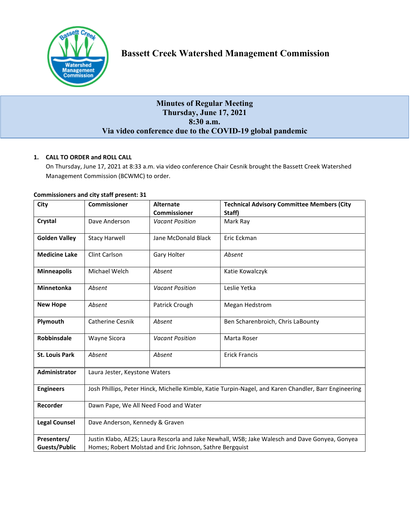

# **Bassett Creek Watershed Management Commission**

# **Minutes of Regular Meeting Thursday, June 17, 2021 8:30 a.m. Via video conference due to the COVID-19 global pandemic**

# **1. CALL TO ORDER and ROLL CALL**

On Thursday, June 17, 2021 at 8:33 a.m. via video conference Chair Cesnik brought the Bassett Creek Watershed Management Commission (BCWMC) to order.

| City                  | <b>Commissioner</b>                                                                                   | <b>Alternate</b>       | <b>Technical Advisory Committee Members (City</b> |  |
|-----------------------|-------------------------------------------------------------------------------------------------------|------------------------|---------------------------------------------------|--|
|                       |                                                                                                       | <b>Commissioner</b>    | Staff)                                            |  |
| Crystal               | Dave Anderson                                                                                         | <b>Vacant Position</b> | Mark Ray                                          |  |
| <b>Golden Valley</b>  | <b>Stacy Harwell</b>                                                                                  | Jane McDonald Black    | Eric Eckman                                       |  |
| <b>Medicine Lake</b>  | Clint Carlson                                                                                         | Gary Holter            | Absent                                            |  |
| <b>Minneapolis</b>    | Michael Welch                                                                                         | Absent                 | Katie Kowalczyk                                   |  |
| <b>Minnetonka</b>     | Absent                                                                                                | <b>Vacant Position</b> | Leslie Yetka                                      |  |
| <b>New Hope</b>       | Absent                                                                                                | Patrick Crough         | <b>Megan Hedstrom</b>                             |  |
| Plymouth              | <b>Catherine Cesnik</b>                                                                               | Absent                 | Ben Scharenbroich, Chris LaBounty                 |  |
| <b>Robbinsdale</b>    | Wayne Sicora                                                                                          | <b>Vacant Position</b> | Marta Roser                                       |  |
| <b>St. Louis Park</b> | Absent                                                                                                | Absent                 | <b>Erick Francis</b>                              |  |
| <b>Administrator</b>  | Laura Jester, Keystone Waters                                                                         |                        |                                                   |  |
| <b>Engineers</b>      | Josh Phillips, Peter Hinck, Michelle Kimble, Katie Turpin-Nagel, and Karen Chandler, Barr Engineering |                        |                                                   |  |
| Recorder              | Dawn Pape, We All Need Food and Water                                                                 |                        |                                                   |  |
| <b>Legal Counsel</b>  | Dave Anderson, Kennedy & Graven                                                                       |                        |                                                   |  |
| Presenters/           | Justin Klabo, AE2S; Laura Rescorla and Jake Newhall, WSB; Jake Walesch and Dave Gonyea, Gonyea        |                        |                                                   |  |
| <b>Guests/Public</b>  | Homes; Robert Molstad and Eric Johnson, Sathre Bergquist                                              |                        |                                                   |  |

#### **Commissioners and city staff present: 31**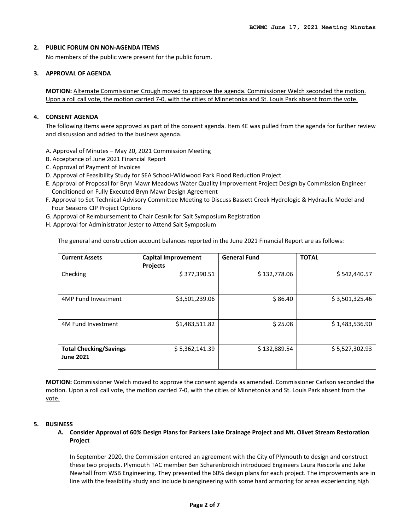#### **2. PUBLIC FORUM ON NON-AGENDA ITEMS**

No members of the public were present for the public forum.

#### **3. APPROVAL OF AGENDA**

**MOTION:** Alternate Commissioner Crough moved to approve the agenda. Commissioner Welch seconded the motion. Upon a roll call vote, the motion carried 7-0, with the cities of Minnetonka and St. Louis Park absent from the vote.

#### **4. CONSENT AGENDA**

The following items were approved as part of the consent agenda. Item 4E was pulled from the agenda for further review and discussion and added to the business agenda.

- A. Approval of Minutes May 20, 2021 Commission Meeting
- B. Acceptance of June 2021 Financial Report
- C. Approval of Payment of Invoices
- D. Approval of Feasibility Study for SEA School-Wildwood Park Flood Reduction Project
- E. Approval of Proposal for Bryn Mawr Meadows Water Quality Improvement Project Design by Commission Engineer Conditioned on Fully Executed Bryn Mawr Design Agreement
- F. Approval to Set Technical Advisory Committee Meeting to Discuss Bassett Creek Hydrologic & Hydraulic Model and Four Seasons CIP Project Options
- G. Approval of Reimbursement to Chair Cesnik for Salt Symposium Registration
- H. Approval for Administrator Jester to Attend Salt Symposium

The general and construction account balances reported in the June 2021 Financial Report are as follows:

| <b>Current Assets</b>                             | <b>Capital Improvement</b><br><b>Projects</b> | <b>General Fund</b> | <b>TOTAL</b>   |
|---------------------------------------------------|-----------------------------------------------|---------------------|----------------|
| Checking                                          | \$377,390.51                                  | \$132,778.06        | \$542,440.57   |
| 4MP Fund Investment                               | \$3,501,239.06                                | \$86.40             | \$3,501,325.46 |
| 4M Fund Investment                                | \$1,483,511.82                                | \$25.08             | \$1,483,536.90 |
| <b>Total Checking/Savings</b><br><b>June 2021</b> | \$5,362,141.39                                | \$132,889.54        | \$5,527,302.93 |

**MOTION:** Commissioner Welch moved to approve the consent agenda as amended. Commissioner Carlson seconded the motion. Upon a roll call vote, the motion carried 7-0, with the cities of Minnetonka and St. Louis Park absent from the vote.

#### **5. BUSINESS**

**A. Consider Approval of 60% Design Plans for Parkers Lake Drainage Project and Mt. Olivet Stream Restoration Project**

In September 2020, the Commission entered an agreement with the City of Plymouth to design and construct these two projects. Plymouth TAC member Ben Scharenbroich introduced Engineers Laura Rescorla and Jake Newhall from WSB Engineering. They presented the 60% design plans for each project. The improvements are in line with the feasibility study and include bioengineering with some hard armoring for areas experiencing high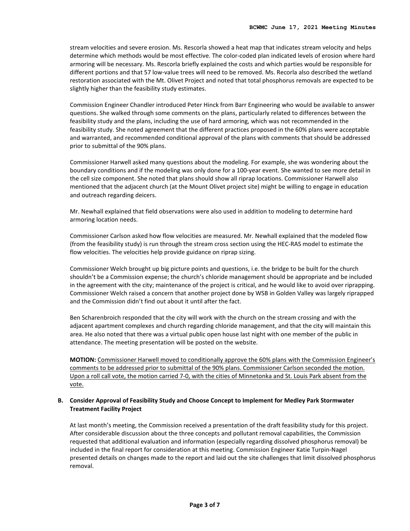stream velocities and severe erosion. Ms. Rescorla showed a heat map that indicates stream velocity and helps determine which methods would be most effective. The color-coded plan indicated levels of erosion where hard armoring will be necessary. Ms. Rescorla briefly explained the costs and which parties would be responsible for different portions and that 57 low-value trees will need to be removed. Ms. Recorla also described the wetland restoration associated with the Mt. Olivet Project and noted that total phosphorus removals are expected to be slightly higher than the feasibility study estimates.

Commission Engineer Chandler introduced Peter Hinck from Barr Engineering who would be available to answer questions. She walked through some comments on the plans, particularly related to differences between the feasibility study and the plans, including the use of hard armoring, which was not recommended in the feasibility study. She noted agreement that the different practices proposed in the 60% plans were acceptable and warranted, and recommended conditional approval of the plans with comments that should be addressed prior to submittal of the 90% plans.

Commissioner Harwell asked many questions about the modeling. For example, she was wondering about the boundary conditions and if the modeling was only done for a 100-year event. She wanted to see more detail in the cell size component. She noted that plans should show all riprap locations. Commissioner Harwell also mentioned that the adjacent church (at the Mount Olivet project site) might be willing to engage in education and outreach regarding deicers.

Mr. Newhall explained that field observations were also used in addition to modeling to determine hard armoring location needs.

Commissioner Carlson asked how flow velocities are measured. Mr. Newhall explained that the modeled flow (from the feasibility study) is run through the stream cross section using the HEC-RAS model to estimate the flow velocities. The velocities help provide guidance on riprap sizing.

Commissioner Welch brought up big picture points and questions, i.e. the bridge to be built for the church shouldn't be a Commission expense; the church's chloride management should be appropriate and be included in the agreement with the city; maintenance of the project is critical, and he would like to avoid over riprapping. Commissioner Welch raised a concern that another project done by WSB in Golden Valley was largely riprapped and the Commission didn't find out about it until after the fact.

Ben Scharenbroich responded that the city will work with the church on the stream crossing and with the adjacent apartment complexes and church regarding chloride management, and that the city will maintain this area. He also noted that there was a virtual public open house last night with one member of the public in attendance. The meeting presentation will be posted on the website.

**MOTION:** Commissioner Harwell moved to conditionally approve the 60% plans with the Commission Engineer's comments to be addressed prior to submittal of the 90% plans. Commissioner Carlson seconded the motion. Upon a roll call vote, the motion carried 7-0, with the cities of Minnetonka and St. Louis Park absent from the vote.

#### **B. Consider Approval of Feasibility Study and Choose Concept to Implement for Medley Park Stormwater Treatment Facility Project**

At last month's meeting, the Commission received a presentation of the draft feasibility study for this project. After considerable discussion about the three concepts and pollutant removal capabilities, the Commission requested that additional evaluation and information (especially regarding dissolved phosphorus removal) be included in the final report for consideration at this meeting. Commission Engineer Katie Turpin-Nagel presented details on changes made to the report and laid out the site challenges that limit dissolved phosphorus removal.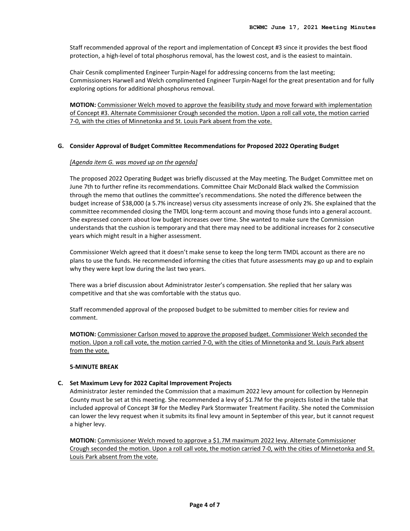Staff recommended approval of the report and implementation of Concept #3 since it provides the best flood protection, a high-level of total phosphorus removal, has the lowest cost, and is the easiest to maintain.

Chair Cesnik complimented Engineer Turpin-Nagel for addressing concerns from the last meeting; Commissioners Harwell and Welch complimented Engineer Turpin-Nagel for the great presentation and for fully exploring options for additional phosphorus removal.

**MOTION:** Commissioner Welch moved to approve the feasibility study and move forward with implementation of Concept #3. Alternate Commissioner Crough seconded the motion. Upon a roll call vote, the motion carried 7-0, with the cities of Minnetonka and St. Louis Park absent from the vote.

# **G. Consider Approval of Budget Committee Recommendations for Proposed 2022 Operating Budget**

# *[Agenda item G. was moved up on the agenda]*

The proposed 2022 Operating Budget was briefly discussed at the May meeting. The Budget Committee met on June 7th to further refine its recommendations. Committee Chair McDonald Black walked the Commission through the memo that outlines the committee's recommendations. She noted the difference between the budget increase of \$38,000 (a 5.7% increase) versus city assessments increase of only 2%. She explained that the committee recommended closing the TMDL long-term account and moving those funds into a general account. She expressed concern about low budget increases over time. She wanted to make sure the Commission understands that the cushion is temporary and that there may need to be additional increases for 2 consecutive years which might result in a higher assessment.

Commissioner Welch agreed that it doesn't make sense to keep the long term TMDL account as there are no plans to use the funds. He recommended informing the cities that future assessments may go up and to explain why they were kept low during the last two years.

There was a brief discussion about Administrator Jester's compensation. She replied that her salary was competitive and that she was comfortable with the status quo.

Staff recommended approval of the proposed budget to be submitted to member cities for review and comment.

**MOTION:** Commissioner Carlson moved to approve the proposed budget. Commissioner Welch seconded the motion. Upon a roll call vote, the motion carried 7-0, with the cities of Minnetonka and St. Louis Park absent from the vote.

#### **5-MINUTE BREAK**

# **C. Set Maximum Levy for 2022 Capital Improvement Projects**

Administrator Jester reminded the Commission that a maximum 2022 levy amount for collection by Hennepin County must be set at this meeting. She recommended a levy of \$1.7M for the projects listed in the table that included approval of Concept 3# for the Medley Park Stormwater Treatment Facility. She noted the Commission can lower the levy request when it submits its final levy amount in September of this year, but it cannot request a higher levy.

**MOTION:** Commissioner Welch moved to approve a \$1.7M maximum 2022 levy. Alternate Commissioner Crough seconded the motion. Upon a roll call vote, the motion carried 7-0, with the cities of Minnetonka and St. Louis Park absent from the vote.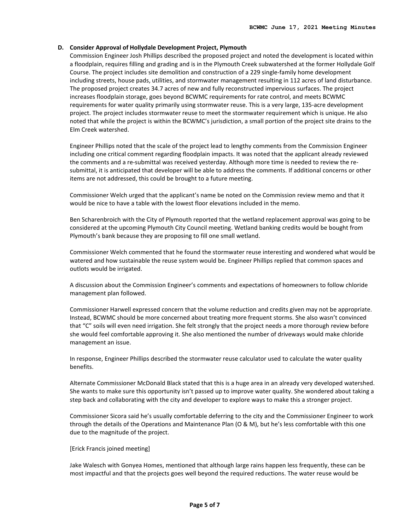#### **D. Consider Approval of Hollydale Development Project, Plymouth**

Commission Engineer Josh Phillips described the proposed project and noted the development is located within a floodplain, requires filling and grading and is in the Plymouth Creek subwatershed at the former Hollydale Golf Course. The project includes site demolition and construction of a 229 single-family home development including streets, house pads, utilities, and stormwater management resulting in 112 acres of land disturbance. The proposed project creates 34.7 acres of new and fully reconstructed impervious surfaces. The project increases floodplain storage, goes beyond BCWMC requirements for rate control, and meets BCWMC requirements for water quality primarily using stormwater reuse. This is a very large, 135-acre development project. The project includes stormwater reuse to meet the stormwater requirement which is unique. He also noted that while the project is within the BCWMC's jurisdiction, a small portion of the project site drains to the Elm Creek watershed.

Engineer Phillips noted that the scale of the project lead to lengthy comments from the Commission Engineer including one critical comment regarding floodplain impacts. It was noted that the applicant already reviewed the comments and a re-submittal was received yesterday. Although more time is needed to review the resubmittal, it is anticipated that developer will be able to address the comments. If additional concerns or other items are not addressed, this could be brought to a future meeting.

Commissioner Welch urged that the applicant's name be noted on the Commission review memo and that it would be nice to have a table with the lowest floor elevations included in the memo.

Ben Scharenbroich with the City of Plymouth reported that the wetland replacement approval was going to be considered at the upcoming Plymouth City Council meeting. Wetland banking credits would be bought from Plymouth's bank because they are proposing to fill one small wetland.

Commissioner Welch commented that he found the stormwater reuse interesting and wondered what would be watered and how sustainable the reuse system would be. Engineer Phillips replied that common spaces and outlots would be irrigated.

A discussion about the Commission Engineer's comments and expectations of homeowners to follow chloride management plan followed.

Commissioner Harwell expressed concern that the volume reduction and credits given may not be appropriate. Instead, BCWMC should be more concerned about treating more frequent storms. She also wasn't convinced that "C" soils will even need irrigation. She felt strongly that the project needs a more thorough review before she would feel comfortable approving it. She also mentioned the number of driveways would make chloride management an issue.

In response, Engineer Phillips described the stormwater reuse calculator used to calculate the water quality benefits.

Alternate Commissioner McDonald Black stated that this is a huge area in an already very developed watershed. She wants to make sure this opportunity isn't passed up to improve water quality. She wondered about taking a step back and collaborating with the city and developer to explore ways to make this a stronger project.

Commissioner Sicora said he's usually comfortable deferring to the city and the Commissioner Engineer to work through the details of the Operations and Maintenance Plan (O & M), but he's less comfortable with this one due to the magnitude of the project.

#### [Erick Francis joined meeting]

Jake Walesch with Gonyea Homes, mentioned that although large rains happen less frequently, these can be most impactful and that the projects goes well beyond the required reductions. The water reuse would be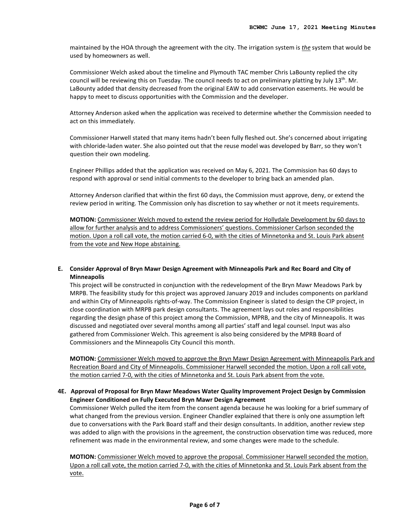maintained by the HOA through the agreement with the city. The irrigation system is *the* system that would be used by homeowners as well.

Commissioner Welch asked about the timeline and Plymouth TAC member Chris LaBounty replied the city council will be reviewing this on Tuesday. The council needs to act on preliminary platting by July 13<sup>th</sup>. Mr. LaBounty added that density decreased from the original EAW to add conservation easements. He would be happy to meet to discuss opportunities with the Commission and the developer.

Attorney Anderson asked when the application was received to determine whether the Commission needed to act on this immediately.

Commissioner Harwell stated that many items hadn't been fully fleshed out. She's concerned about irrigating with chloride-laden water. She also pointed out that the reuse model was developed by Barr, so they won't question their own modeling.

Engineer Phillips added that the application was received on May 6, 2021. The Commission has 60 days to respond with approval or send initial comments to the developer to bring back an amended plan.

Attorney Anderson clarified that within the first 60 days, the Commission must approve, deny, or extend the review period in writing. The Commission only has discretion to say whether or not it meets requirements.

**MOTION:** Commissioner Welch moved to extend the review period for Hollydale Development by 60 days to allow for further analysis and to address Commissioners' questions. Commissioner Carlson seconded the motion. Upon a roll call vote, the motion carried 6-0, with the cities of Minnetonka and St. Louis Park absent from the vote and New Hope abstaining.

#### **E. Consider Approval of Bryn Mawr Design Agreement with Minneapolis Park and Rec Board and City of Minneapolis**

This project will be constructed in conjunction with the redevelopment of the Bryn Mawr Meadows Park by MRPB. The feasibility study for this project was approved January 2019 and includes components on parkland and within City of Minneapolis rights-of-way. The Commission Engineer is slated to design the CIP project, in close coordination with MRPB park design consultants. The agreement lays out roles and responsibilities regarding the design phase of this project among the Commission, MPRB, and the city of Minneapolis. It was discussed and negotiated over several months among all parties' staff and legal counsel. Input was also gathered from Commissioner Welch. This agreement is also being considered by the MPRB Board of Commissioners and the Minneapolis City Council this month.

**MOTION:** Commissioner Welch moved to approve the Bryn Mawr Design Agreement with Minneapolis Park and Recreation Board and City of Minneapolis. Commissioner Harwell seconded the motion. Upon a roll call vote, the motion carried 7-0, with the cities of Minnetonka and St. Louis Park absent from the vote.

#### **4E. Approval of Proposal for Bryn Mawr Meadows Water Quality Improvement Project Design by Commission Engineer Conditioned on Fully Executed Bryn Mawr Design Agreement**

Commissioner Welch pulled the item from the consent agenda because he was looking for a brief summary of what changed from the previous version. Engineer Chandler explained that there is only one assumption left due to conversations with the Park Board staff and their design consultants. In addition, another review step was added to align with the provisions in the agreement, the construction observation time was reduced, more refinement was made in the environmental review, and some changes were made to the schedule.

**MOTION:** Commissioner Welch moved to approve the proposal. Commissioner Harwell seconded the motion. Upon a roll call vote, the motion carried 7-0, with the cities of Minnetonka and St. Louis Park absent from the vote.